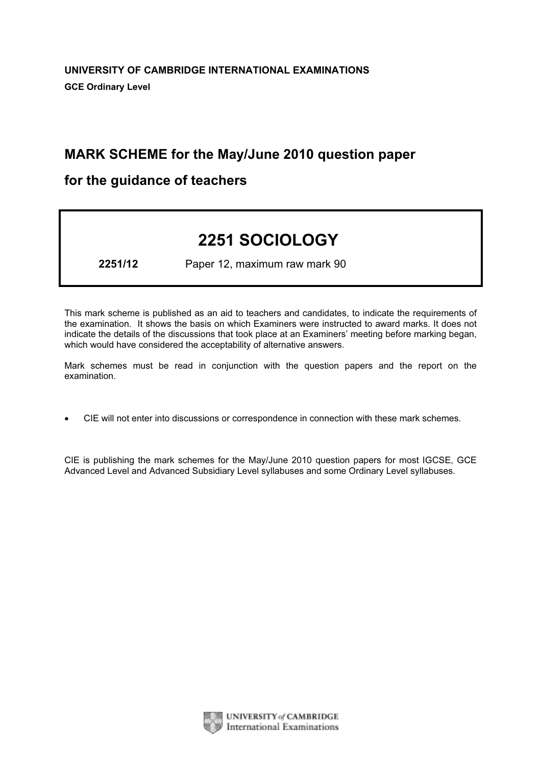# MARK SCHEME for the May/June 2010 question paper

## for the guidance of teachers

# 2251 SOCIOLOGY

2251/12 Paper 12, maximum raw mark 90

This mark scheme is published as an aid to teachers and candidates, to indicate the requirements of the examination. It shows the basis on which Examiners were instructed to award marks. It does not indicate the details of the discussions that took place at an Examiners' meeting before marking began, which would have considered the acceptability of alternative answers.

Mark schemes must be read in conjunction with the question papers and the report on the examination.

*•* CIE will not enter into discussions or correspondence in connection with these mark schemes.

CIE is publishing the mark schemes for the May/June 2010 question papers for most IGCSE, GCE Advanced Level and Advanced Subsidiary Level syllabuses and some Ordinary Level syllabuses.



UNIVERSITY of CAMBRIDGE **International Examinations**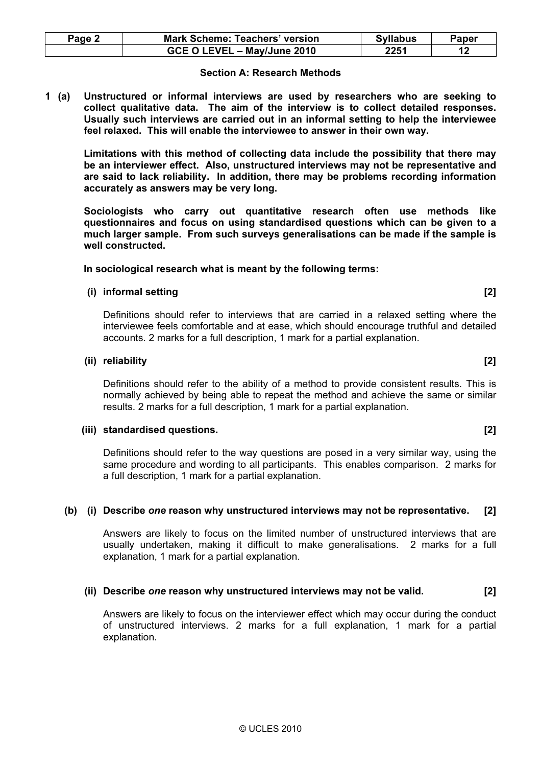| Thiark for a partial explaination. |  |
|------------------------------------|--|
|                                    |  |

### (ii) Describe one reason why unstructured interviews may not be valid. [2]

 Answers are likely to focus on the interviewer effect which may occur during the conduct of unstructured interviews. 2 marks for a full explanation, 1 mark for a partial explanation.

| Page 2 | <b>Mark Scheme: Teachers' version</b> | <b>Syllabus</b> | <b>Paper</b> |
|--------|---------------------------------------|-----------------|--------------|
|        | GCE O LEVEL - May/June 2010           | 2251            |              |

#### Section A: Research Methods

1 (a) Unstructured or informal interviews are used by researchers who are seeking to collect qualitative data. The aim of the interview is to collect detailed responses. Usually such interviews are carried out in an informal setting to help the interviewee feel relaxed. This will enable the interviewee to answer in their own way.

 Limitations with this method of collecting data include the possibility that there may be an interviewer effect. Also, unstructured interviews may not be representative and are said to lack reliability. In addition, there may be problems recording information accurately as answers may be very long.

 Sociologists who carry out quantitative research often use methods like questionnaires and focus on using standardised questions which can be given to a much larger sample. From such surveys generalisations can be made if the sample is well constructed.

#### In sociological research what is meant by the following terms:

### (i) informal setting [2]

 Definitions should refer to interviews that are carried in a relaxed setting where the interviewee feels comfortable and at ease, which should encourage truthful and detailed accounts. 2 marks for a full description, 1 mark for a partial explanation.

#### (ii) reliability [2]

 Definitions should refer to the ability of a method to provide consistent results. This is normally achieved by being able to repeat the method and achieve the same or similar results. 2 marks for a full description, 1 mark for a partial explanation.

#### (iii) standardised questions. [2]

 Definitions should refer to the way questions are posed in a very similar way, using the same procedure and wording to all participants. This enables comparison. 2 marks for a full description, 1 mark for a partial explanation.

#### (b) (i) Describe one reason why unstructured interviews may not be representative. [2]

 Answers are likely to focus on the limited number of unstructured interviews that are usually undertaken, making it difficult to make generalisations. 2 marks for a full explanation, 1 mark for a partial explanation.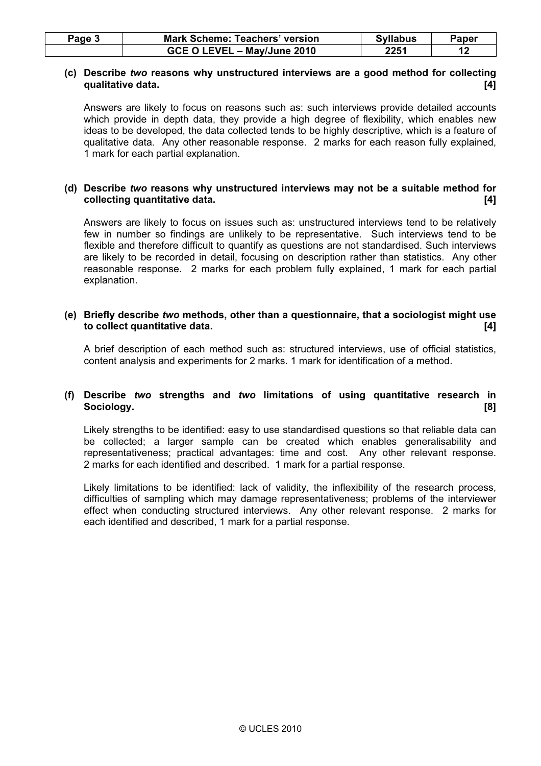| Page 3 | <b>Mark Scheme: Teachers' version</b> | <b>Syllabus</b> | Paper |
|--------|---------------------------------------|-----------------|-------|
|        | GCE O LEVEL - May/June 2010           | 2251            |       |

#### (c) Describe two reasons why unstructured interviews are a good method for collecting qualitative data. [4]

 Answers are likely to focus on reasons such as: such interviews provide detailed accounts which provide in depth data, they provide a high degree of flexibility, which enables new ideas to be developed, the data collected tends to be highly descriptive, which is a feature of qualitative data. Any other reasonable response. 2 marks for each reason fully explained, 1 mark for each partial explanation.

#### (d) Describe two reasons why unstructured interviews may not be a suitable method for collecting quantitative data. [4]

 Answers are likely to focus on issues such as: unstructured interviews tend to be relatively few in number so findings are unlikely to be representative. Such interviews tend to be flexible and therefore difficult to quantify as questions are not standardised. Such interviews are likely to be recorded in detail, focusing on description rather than statistics. Any other reasonable response. 2 marks for each problem fully explained, 1 mark for each partial explanation.

#### (e) Briefly describe two methods, other than a questionnaire, that a sociologist might use to collect quantitative data. [4]

 A brief description of each method such as: structured interviews, use of official statistics, content analysis and experiments for 2 marks. 1 mark for identification of a method.

#### (f) Describe two strengths and two limitations of using quantitative research in Sociology. [8]

 Likely strengths to be identified: easy to use standardised questions so that reliable data can be collected; a larger sample can be created which enables generalisability and representativeness; practical advantages: time and cost. Any other relevant response. 2 marks for each identified and described. 1 mark for a partial response.

 Likely limitations to be identified: lack of validity, the inflexibility of the research process, difficulties of sampling which may damage representativeness; problems of the interviewer effect when conducting structured interviews. Any other relevant response. 2 marks for each identified and described, 1 mark for a partial response.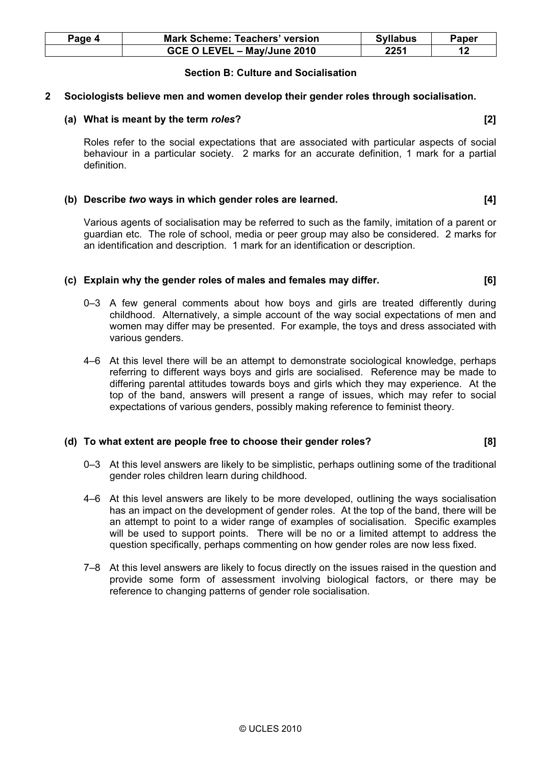| Page 4 | <b>Mark Scheme: Teachers' version</b> | <b>Syllabus</b> | Paper |
|--------|---------------------------------------|-----------------|-------|
|        | GCE O LEVEL - May/June 2010           | 2251            | 12    |

#### Section B: Culture and Socialisation

#### 2 Sociologists believe men and women develop their gender roles through socialisation.

#### (a) What is meant by the term roles? [2]

 Roles refer to the social expectations that are associated with particular aspects of social behaviour in a particular society. 2 marks for an accurate definition, 1 mark for a partial definition.

#### (b) Describe two ways in which gender roles are learned. [4]

 Various agents of socialisation may be referred to such as the family, imitation of a parent or guardian etc. The role of school, media or peer group may also be considered. 2 marks for an identification and description. 1 mark for an identification or description.

#### (c) Explain why the gender roles of males and females may differ. [6]

- 0–3 A few general comments about how boys and girls are treated differently during childhood. Alternatively, a simple account of the way social expectations of men and women may differ may be presented. For example, the toys and dress associated with various genders.
- 4–6 At this level there will be an attempt to demonstrate sociological knowledge, perhaps referring to different ways boys and girls are socialised. Reference may be made to differing parental attitudes towards boys and girls which they may experience. At the top of the band, answers will present a range of issues, which may refer to social expectations of various genders, possibly making reference to feminist theory.

#### (d) To what extent are people free to choose their gender roles? [8]

- 0–3 At this level answers are likely to be simplistic, perhaps outlining some of the traditional gender roles children learn during childhood.
- 4–6 At this level answers are likely to be more developed, outlining the ways socialisation has an impact on the development of gender roles. At the top of the band, there will be an attempt to point to a wider range of examples of socialisation. Specific examples will be used to support points. There will be no or a limited attempt to address the question specifically, perhaps commenting on how gender roles are now less fixed.
- 7–8 At this level answers are likely to focus directly on the issues raised in the question and provide some form of assessment involving biological factors, or there may be reference to changing patterns of gender role socialisation.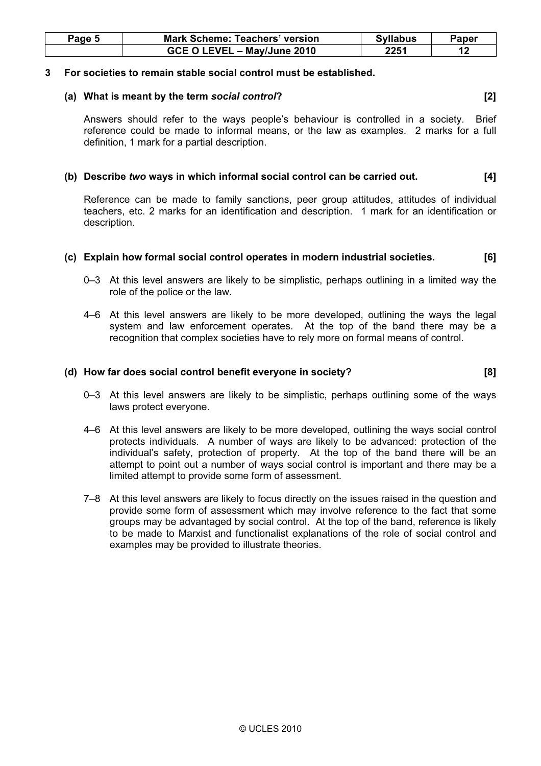| Page 5 | <b>Mark Scheme: Teachers' version</b> | <b>Syllabus</b> | Paper |
|--------|---------------------------------------|-----------------|-------|
|        | GCE O LEVEL - May/June 2010           | 2251            |       |

#### 3 For societies to remain stable social control must be established.

#### (a) What is meant by the term social control? [2]

 Answers should refer to the ways people's behaviour is controlled in a society. Brief reference could be made to informal means, or the law as examples. 2 marks for a full definition, 1 mark for a partial description.

#### (b) Describe two ways in which informal social control can be carried out. [4]

 Reference can be made to family sanctions, peer group attitudes, attitudes of individual teachers, etc. 2 marks for an identification and description. 1 mark for an identification or description.

#### (c) Explain how formal social control operates in modern industrial societies. [6]

- 0–3 At this level answers are likely to be simplistic, perhaps outlining in a limited way the role of the police or the law.
- 4–6 At this level answers are likely to be more developed, outlining the ways the legal system and law enforcement operates. At the top of the band there may be a recognition that complex societies have to rely more on formal means of control.

#### (d) How far does social control benefit everyone in society? [8]

- 0–3 At this level answers are likely to be simplistic, perhaps outlining some of the ways laws protect everyone.
- 4–6 At this level answers are likely to be more developed, outlining the ways social control protects individuals. A number of ways are likely to be advanced: protection of the individual's safety, protection of property. At the top of the band there will be an attempt to point out a number of ways social control is important and there may be a limited attempt to provide some form of assessment.
- 7–8 At this level answers are likely to focus directly on the issues raised in the question and provide some form of assessment which may involve reference to the fact that some groups may be advantaged by social control. At the top of the band, reference is likely to be made to Marxist and functionalist explanations of the role of social control and examples may be provided to illustrate theories.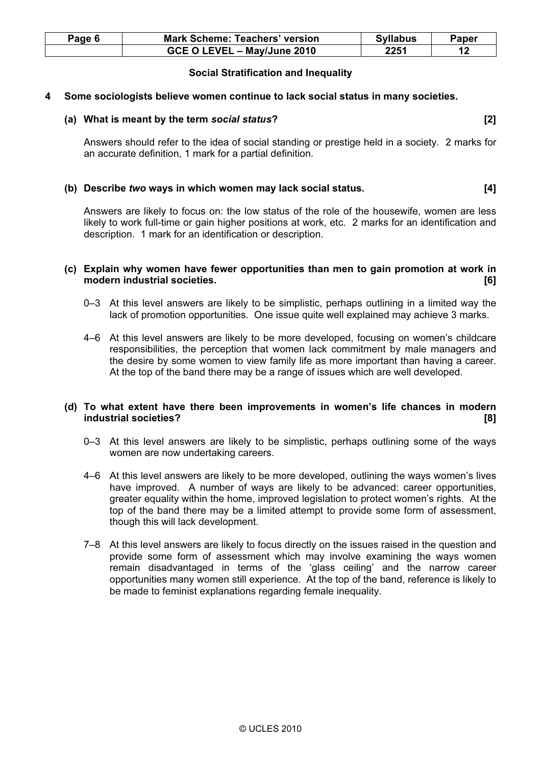| Page 6 | <b>Mark Scheme: Teachers' version</b> | <b>Syllabus</b> | <b>Paper</b> |
|--------|---------------------------------------|-----------------|--------------|
|        | GCE O LEVEL - May/June 2010           | 2251            |              |

#### Social Stratification and Inequality

#### 4 Some sociologists believe women continue to lack social status in many societies.

#### (a) What is meant by the term social status? (a) what is meant by the term social status?

 Answers should refer to the idea of social standing or prestige held in a society. 2 marks for an accurate definition, 1 mark for a partial definition.

#### (b) Describe two ways in which women may lack social status. [4]

 Answers are likely to focus on: the low status of the role of the housewife, women are less likely to work full-time or gain higher positions at work, etc. 2 marks for an identification and description. 1 mark for an identification or description.

#### (c) Explain why women have fewer opportunities than men to gain promotion at work in modern industrial societies. **Example 2018** 161

- 0–3 At this level answers are likely to be simplistic, perhaps outlining in a limited way the lack of promotion opportunities. One issue quite well explained may achieve 3 marks.
- 4–6 At this level answers are likely to be more developed, focusing on women's childcare responsibilities, the perception that women lack commitment by male managers and the desire by some women to view family life as more important than having a career. At the top of the band there may be a range of issues which are well developed.

#### (d) To what extent have there been improvements in women's life chances in modern industrial societies? [8]

- 0–3 At this level answers are likely to be simplistic, perhaps outlining some of the ways women are now undertaking careers.
- 4–6 At this level answers are likely to be more developed, outlining the ways women's lives have improved. A number of ways are likely to be advanced: career opportunities, greater equality within the home, improved legislation to protect women's rights. At the top of the band there may be a limited attempt to provide some form of assessment, though this will lack development.
- 7–8 At this level answers are likely to focus directly on the issues raised in the question and provide some form of assessment which may involve examining the ways women remain disadvantaged in terms of the 'glass ceiling' and the narrow career opportunities many women still experience. At the top of the band, reference is likely to be made to feminist explanations regarding female inequality.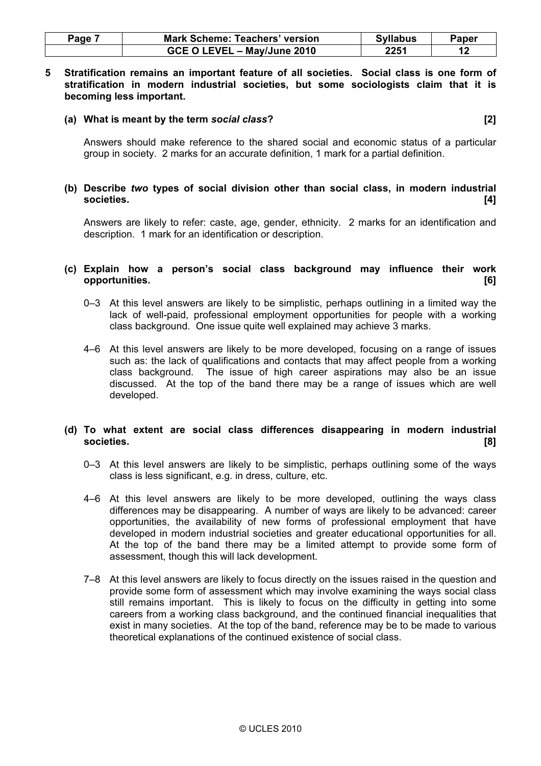| Page | <b>Mark Scheme: Teachers' version</b> | <b>Syllabus</b> | Paper |
|------|---------------------------------------|-----------------|-------|
|      | GCE O LEVEL - May/June 2010           | 2251            |       |

#### 5 Stratification remains an important feature of all societies. Social class is one form of stratification in modern industrial societies, but some sociologists claim that it is becoming less important.

#### (a) What is meant by the term social class? (a) what is meant by the term social class?

 Answers should make reference to the shared social and economic status of a particular group in society. 2 marks for an accurate definition, 1 mark for a partial definition.

#### (b) Describe two types of social division other than social class, in modern industrial societies. [4]

 Answers are likely to refer: caste, age, gender, ethnicity. 2 marks for an identification and description. 1 mark for an identification or description.

#### (c) Explain how a person's social class background may influence their work opportunities. [6]

- 0–3 At this level answers are likely to be simplistic, perhaps outlining in a limited way the lack of well-paid, professional employment opportunities for people with a working class background. One issue quite well explained may achieve 3 marks.
- 4–6 At this level answers are likely to be more developed, focusing on a range of issues such as: the lack of qualifications and contacts that may affect people from a working class background. The issue of high career aspirations may also be an issue discussed. At the top of the band there may be a range of issues which are well developed.

#### (d) To what extent are social class differences disappearing in modern industrial societies. [8]

- 0–3 At this level answers are likely to be simplistic, perhaps outlining some of the ways class is less significant, e.g. in dress, culture, etc.
- 4–6 At this level answers are likely to be more developed, outlining the ways class differences may be disappearing. A number of ways are likely to be advanced: career opportunities, the availability of new forms of professional employment that have developed in modern industrial societies and greater educational opportunities for all. At the top of the band there may be a limited attempt to provide some form of assessment, though this will lack development.
- 7–8 At this level answers are likely to focus directly on the issues raised in the question and provide some form of assessment which may involve examining the ways social class still remains important. This is likely to focus on the difficulty in getting into some careers from a working class background, and the continued financial inequalities that exist in many societies. At the top of the band, reference may be to be made to various theoretical explanations of the continued existence of social class.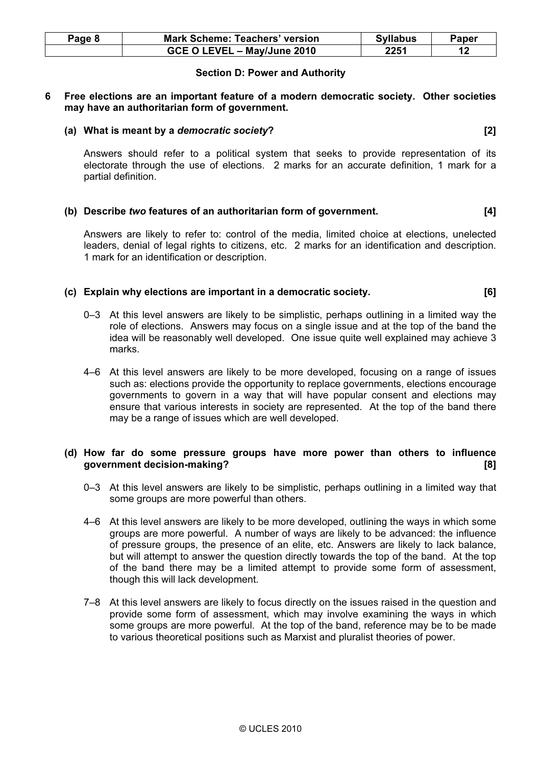| Page 8 | <b>Mark Scheme: Teachers' version</b> | <b>Syllabus</b> | Paper |
|--------|---------------------------------------|-----------------|-------|
|        | GCE O LEVEL - May/June 2010           | 2251            | 12    |

#### Section D: Power and Authority

#### 6 Free elections are an important feature of a modern democratic society. Other societies may have an authoritarian form of government.

#### (a) What is meant by a democratic society? [2]

 Answers should refer to a political system that seeks to provide representation of its electorate through the use of elections. 2 marks for an accurate definition, 1 mark for a partial definition.

#### (b) Describe two features of an authoritarian form of government. [4]

 Answers are likely to refer to: control of the media, limited choice at elections, unelected leaders, denial of legal rights to citizens, etc. 2 marks for an identification and description. 1 mark for an identification or description.

#### (c) Explain why elections are important in a democratic society. [6]

- 0–3 At this level answers are likely to be simplistic, perhaps outlining in a limited way the role of elections. Answers may focus on a single issue and at the top of the band the idea will be reasonably well developed. One issue quite well explained may achieve 3 marks.
- 4–6 At this level answers are likely to be more developed, focusing on a range of issues such as: elections provide the opportunity to replace governments, elections encourage governments to govern in a way that will have popular consent and elections may ensure that various interests in society are represented. At the top of the band there may be a range of issues which are well developed.

#### (d) How far do some pressure groups have more power than others to influence government decision-making? [8]

- 0–3 At this level answers are likely to be simplistic, perhaps outlining in a limited way that some groups are more powerful than others.
- 4–6 At this level answers are likely to be more developed, outlining the ways in which some groups are more powerful. A number of ways are likely to be advanced: the influence of pressure groups, the presence of an elite, etc. Answers are likely to lack balance, but will attempt to answer the question directly towards the top of the band. At the top of the band there may be a limited attempt to provide some form of assessment, though this will lack development.
- 7–8 At this level answers are likely to focus directly on the issues raised in the question and provide some form of assessment, which may involve examining the ways in which some groups are more powerful. At the top of the band, reference may be to be made to various theoretical positions such as Marxist and pluralist theories of power.